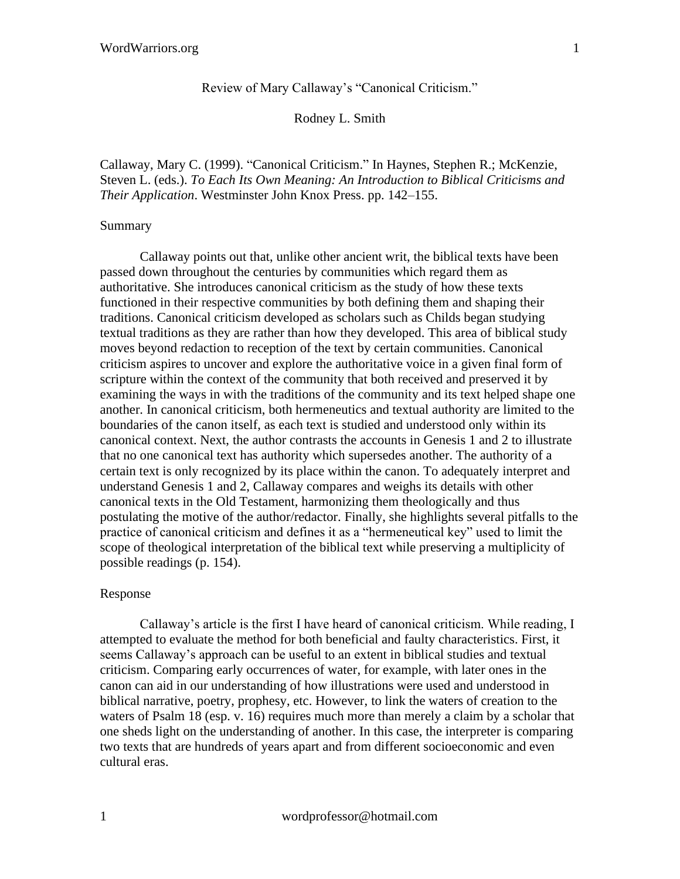## Review of Mary Callaway's "Canonical Criticism."

## Rodney L. Smith

Callaway, Mary C. (1999). "Canonical Criticism." In Haynes, Stephen R.; McKenzie, Steven L. (eds.). *To Each Its Own Meaning: An Introduction to Biblical Criticisms and Their Application*. Westminster John Knox Press. pp. 142–155.

## Summary

Callaway points out that, unlike other ancient writ, the biblical texts have been passed down throughout the centuries by communities which regard them as authoritative. She introduces canonical criticism as the study of how these texts functioned in their respective communities by both defining them and shaping their traditions. Canonical criticism developed as scholars such as Childs began studying textual traditions as they are rather than how they developed. This area of biblical study moves beyond redaction to reception of the text by certain communities. Canonical criticism aspires to uncover and explore the authoritative voice in a given final form of scripture within the context of the community that both received and preserved it by examining the ways in with the traditions of the community and its text helped shape one another. In canonical criticism, both hermeneutics and textual authority are limited to the boundaries of the canon itself, as each text is studied and understood only within its canonical context. Next, the author contrasts the accounts in Genesis 1 and 2 to illustrate that no one canonical text has authority which supersedes another. The authority of a certain text is only recognized by its place within the canon. To adequately interpret and understand Genesis 1 and 2, Callaway compares and weighs its details with other canonical texts in the Old Testament, harmonizing them theologically and thus postulating the motive of the author/redactor. Finally, she highlights several pitfalls to the practice of canonical criticism and defines it as a "hermeneutical key" used to limit the scope of theological interpretation of the biblical text while preserving a multiplicity of possible readings (p. 154).

## Response

Callaway's article is the first I have heard of canonical criticism. While reading, I attempted to evaluate the method for both beneficial and faulty characteristics. First, it seems Callaway's approach can be useful to an extent in biblical studies and textual criticism. Comparing early occurrences of water, for example, with later ones in the canon can aid in our understanding of how illustrations were used and understood in biblical narrative, poetry, prophesy, etc. However, to link the waters of creation to the waters of Psalm 18 (esp. v. 16) requires much more than merely a claim by a scholar that one sheds light on the understanding of another. In this case, the interpreter is comparing two texts that are hundreds of years apart and from different socioeconomic and even cultural eras.